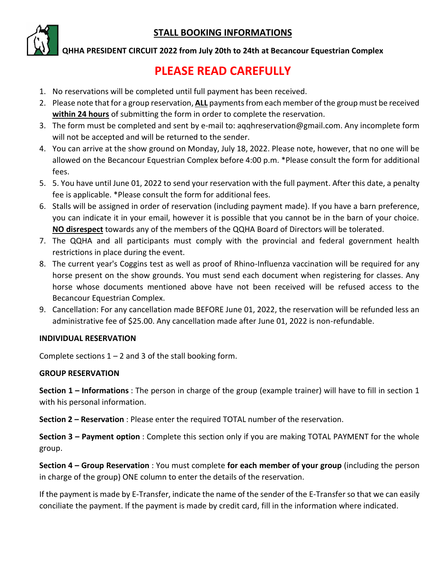### **STALL BOOKING INFORMATIONS**



**QHHA PRESIDENT CIRCUIT 2022 from July 20th to 24th at Becancour Equestrian Complex** 

# **PLEASE READ CAREFULLY**

- 1. No reservations will be completed until full payment has been received.
- 2. Please note that for a group reservation, **ALL** payments from each member of the group must be received **within 24 hours** of submitting the form in order to complete the reservation.
- 3. The form must be completed and sent by e-mail to: aqqhreservation@gmail.com. Any incomplete form will not be accepted and will be returned to the sender.
- 4. You can arrive at the show ground on Monday, July 18, 2022. Please note, however, that no one will be allowed on the Becancour Equestrian Complex before 4:00 p.m. \*Please consult the form for additional fees.
- 5. 5. You have until June 01, 2022 to send your reservation with the full payment. After this date, a penalty fee is applicable. \*Please consult the form for additional fees.
- 6. Stalls will be assigned in order of reservation (including payment made). If you have a barn preference, you can indicate it in your email, however it is possible that you cannot be in the barn of your choice. **NO disrespect** towards any of the members of the QQHA Board of Directors will be tolerated.
- 7. The QQHA and all participants must comply with the provincial and federal government health restrictions in place during the event.
- 8. The current year's Coggins test as well as proof of Rhino-Influenza vaccination will be required for any horse present on the show grounds. You must send each document when registering for classes. Any horse whose documents mentioned above have not been received will be refused access to the Becancour Equestrian Complex.
- 9. Cancellation: For any cancellation made BEFORE June 01, 2022, the reservation will be refunded less an administrative fee of \$25.00. Any cancellation made after June 01, 2022 is non-refundable.

#### **INDIVIDUAL RESERVATION**

Complete sections  $1 - 2$  and 3 of the stall booking form.

#### **GROUP RESERVATION**

**Section 1 – Informations** : The person in charge of the group (example trainer) will have to fill in section 1 with his personal information.

**Section 2 – Reservation** : Please enter the required TOTAL number of the reservation.

**Section 3 – Payment option** : Complete this section only if you are making TOTAL PAYMENT for the whole group.

**Section 4 – Group Reservation** : You must complete **for each member of your group** (including the person in charge of the group) ONE column to enter the details of the reservation.

If the payment is made by E-Transfer, indicate the name of the sender of the E-Transfer so that we can easily conciliate the payment. If the payment is made by credit card, fill in the information where indicated.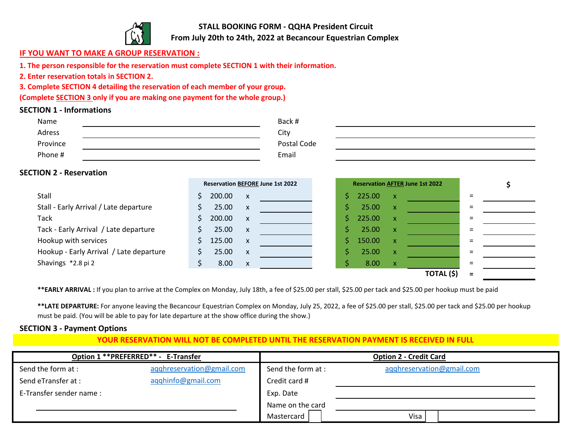

**STALL BOOKING FORM - QQHA President Circuit From July 20th to 24th, 2022 at Becancour Equestrian Complex** 

#### **IF YOU WANT TO MAKE A GROUP RESERVATION :**

**1. The person responsible for the reservation must complete SECTION 1 with their information.**

**2. Enter reservation totals in SECTION 2.**

**3. Complete SECTION 4 detailing the reservation of each member of your group.**

**(Complete SECTION 3 only if you are making one payment for the whole group.)**

#### **SECTION 1 - Informations**

| Name     | Back #      |
|----------|-------------|
| Adress   | City        |
| Province | Postal Code |
| Phone #  | Email       |
|          |             |

#### **SECTION 2 - Reservation**

|                                         | <b>Reservation AFTER June 1st 2022</b><br><b>Reservation BEFORE June 1st 2022</b> |  |
|-----------------------------------------|-----------------------------------------------------------------------------------|--|
| Stall                                   | 200.00<br>225.00<br>$\mathsf{X}$<br>$\mathbf{x}$                                  |  |
| Stall - Early Arrival / Late departure  | 25.00<br>25.00<br>$\mathsf{X}$<br>/ X                                             |  |
| <b>Tack</b>                             | 200.00<br>225.00<br>/ X<br>$\mathsf{x}$                                           |  |
| Tack - Early Arrival / Late departure   | 25.00<br>25.00<br>$\mathsf{X}$<br>/ X                                             |  |
| Hookup with services                    | 150.00<br>125.00<br>$\mathsf{X}$<br>/X                                            |  |
| Hookup - Early Arrival / Late departure | 25.00<br>25.00<br>$\mathsf{x}$<br>/x                                              |  |
| Shavings *2.8 pi 2                      | 8.00<br>8.00<br>$\mathbf{x}$<br>/X                                                |  |
|                                         | <b>TOTAL (\$)</b>                                                                 |  |

\*\*EARLY ARRIVAL : If you plan to arrive at the Complex on Monday, July 18th, a fee of \$25.00 per stall, \$25.00 per tack and \$25.00 per hookup must be paid

**\*\*LATE DEPARTURE:** For anyone leaving the Becancour Equestrian Complex on Monday, July 25, 2022, a fee of \$25.00 per stall, \$25.00 per tack and \$25.00 per hookup must be paid. (You will be able to pay for late departure at the show office during the show.)

#### **SECTION 3 - Payment Options**

#### **YOUR RESERVATION WILL NOT BE COMPLETED UNTIL THE RESERVATION PAYMENT IS RECEIVED IN FULL**

|                         | Option 1 ** PREFERRED ** - E-Transfer |                    | <b>Option 2 - Credit Card</b> |
|-------------------------|---------------------------------------|--------------------|-------------------------------|
| Send the form at :      | aqqhreservation@gmail.com             | Send the form at : | agghreservation@gmail.com     |
| Send eTransfer at :     | aqqhinfo@gmail.com                    | Credit card #      |                               |
| E-Transfer sender name: |                                       | Exp. Date          |                               |
|                         |                                       | Name on the card   |                               |
|                         |                                       | Mastercard         | Visa                          |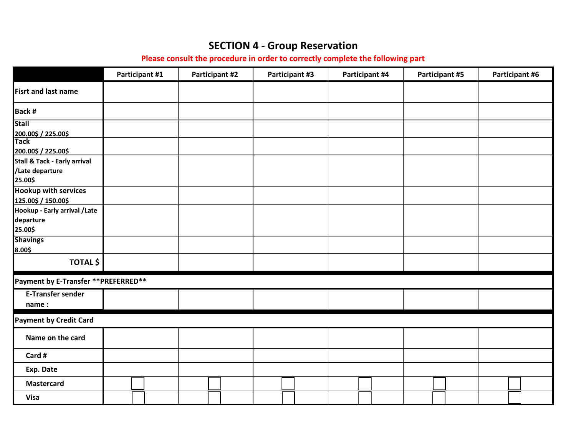## **SECTION 4 - Group Reservation**

**Please consult the procedure in order to correctly complete the following part**

|                                                                                   |  | Participant #1 |  | <b>Participant #2</b> |  | Participant #3 |  | Participant #4 |  | <b>Participant #5</b> |  | Participant #6 |  |
|-----------------------------------------------------------------------------------|--|----------------|--|-----------------------|--|----------------|--|----------------|--|-----------------------|--|----------------|--|
| <b>Fisrt and last name</b>                                                        |  |                |  |                       |  |                |  |                |  |                       |  |                |  |
| Back #                                                                            |  |                |  |                       |  |                |  |                |  |                       |  |                |  |
| <b>Stall</b><br>200.00\$ / 225.00\$<br>Tack                                       |  |                |  |                       |  |                |  |                |  |                       |  |                |  |
| 200.00\$ / 225.00\$<br>Stall & Tack - Early arrival<br>/Late departure<br>25.00\$ |  |                |  |                       |  |                |  |                |  |                       |  |                |  |
| <b>Hookup with services</b><br>125.00\$ / 150.00\$                                |  |                |  |                       |  |                |  |                |  |                       |  |                |  |
| Hookup - Early arrival / Late<br>departure<br>25.00\$                             |  |                |  |                       |  |                |  |                |  |                       |  |                |  |
| <b>Shavings</b><br>8.00\$                                                         |  |                |  |                       |  |                |  |                |  |                       |  |                |  |
| <b>TOTAL \$</b>                                                                   |  |                |  |                       |  |                |  |                |  |                       |  |                |  |
| Payment by E-Transfer ** PREFERRED**                                              |  |                |  |                       |  |                |  |                |  |                       |  |                |  |
| <b>E-Transfer sender</b><br>name:                                                 |  |                |  |                       |  |                |  |                |  |                       |  |                |  |
| <b>Payment by Credit Card</b>                                                     |  |                |  |                       |  |                |  |                |  |                       |  |                |  |
| Name on the card                                                                  |  |                |  |                       |  |                |  |                |  |                       |  |                |  |
| Card #                                                                            |  |                |  |                       |  |                |  |                |  |                       |  |                |  |
| Exp. Date                                                                         |  |                |  |                       |  |                |  |                |  |                       |  |                |  |
| <b>Mastercard</b>                                                                 |  |                |  |                       |  |                |  |                |  |                       |  |                |  |
| <b>Visa</b>                                                                       |  |                |  |                       |  |                |  |                |  |                       |  |                |  |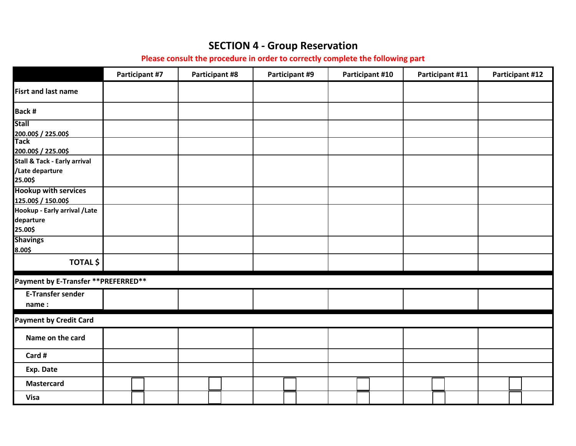## **SECTION 4 - Group Reservation**

**Please consult the procedure in order to correctly complete the following part**

|                                                            |  | <b>Participant #7</b> |  | <b>Participant #8</b> |  | Participant #9 |  | Participant #10 |  | Participant #11 |  | <b>Participant #12</b> |
|------------------------------------------------------------|--|-----------------------|--|-----------------------|--|----------------|--|-----------------|--|-----------------|--|------------------------|
| <b>Fisrt and last name</b>                                 |  |                       |  |                       |  |                |  |                 |  |                 |  |                        |
| Back #                                                     |  |                       |  |                       |  |                |  |                 |  |                 |  |                        |
| <b>Stall</b>                                               |  |                       |  |                       |  |                |  |                 |  |                 |  |                        |
| 200.00\$ / 225.00\$<br>Tack<br>200.00\$ / 225.00\$         |  |                       |  |                       |  |                |  |                 |  |                 |  |                        |
| Stall & Tack - Early arrival<br>/Late departure<br>25.00\$ |  |                       |  |                       |  |                |  |                 |  |                 |  |                        |
| <b>Hookup with services</b><br>125.00\$ / 150.00\$         |  |                       |  |                       |  |                |  |                 |  |                 |  |                        |
| Hookup - Early arrival / Late<br>departure<br>25.00\$      |  |                       |  |                       |  |                |  |                 |  |                 |  |                        |
| <b>Shavings</b><br>8.00\$                                  |  |                       |  |                       |  |                |  |                 |  |                 |  |                        |
| <b>TOTAL \$</b>                                            |  |                       |  |                       |  |                |  |                 |  |                 |  |                        |
| Payment by E-Transfer ** PREFERRED**                       |  |                       |  |                       |  |                |  |                 |  |                 |  |                        |
| <b>E-Transfer sender</b><br>name:                          |  |                       |  |                       |  |                |  |                 |  |                 |  |                        |
| <b>Payment by Credit Card</b>                              |  |                       |  |                       |  |                |  |                 |  |                 |  |                        |
| Name on the card                                           |  |                       |  |                       |  |                |  |                 |  |                 |  |                        |
| Card #                                                     |  |                       |  |                       |  |                |  |                 |  |                 |  |                        |
| Exp. Date                                                  |  |                       |  |                       |  |                |  |                 |  |                 |  |                        |
| <b>Mastercard</b>                                          |  |                       |  |                       |  |                |  |                 |  |                 |  |                        |
| <b>Visa</b>                                                |  |                       |  |                       |  |                |  |                 |  |                 |  |                        |